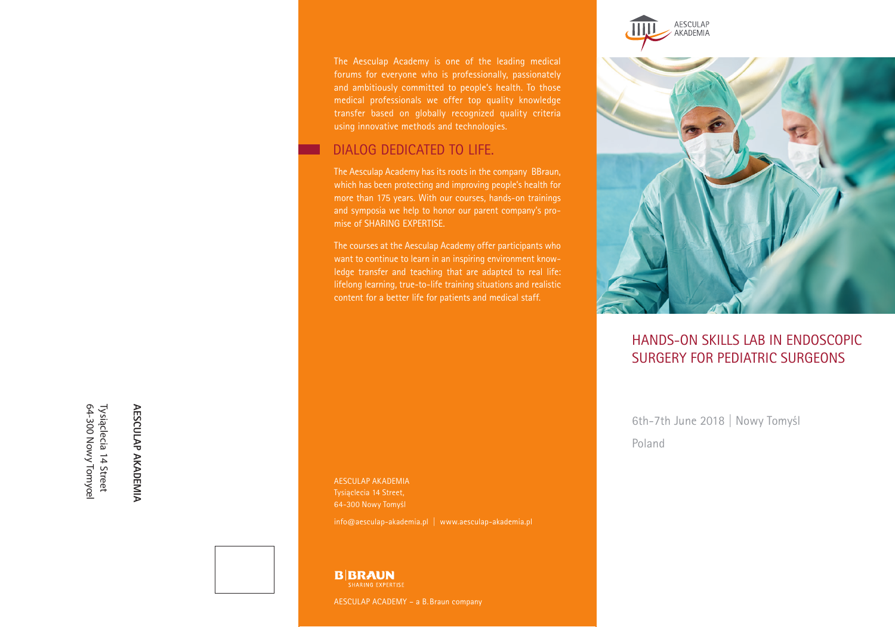The Aesculap Academy is one of the leading medical forums for everyone who is professionally, passionately and ambitiously committed to people's health. To those medical professionals we offer top quality knowledge transfer based on globally recognized quality criteria using innovative methods and technologies.

# DIALOG DEDICATED TO LIFE.

The Aesculap Academy has its roots in the company BBraun, which has been protecting and improving people's health for more than 175 years. With our courses, hands-on trainings and symposia we help to honor our parent company's promise of SHARING EXPERTISE.

The courses at the Aesculap Academy offer participants who want to continue to learn in an inspiring environment knowledge transfer and teaching that are adapted to real life: lifelong learning, true-to-life training situations and realistic content for a better life for patients and medical staff.

AESCULAP<br>AKADEMIA



# HANDS-ON SKILLS LAB IN ENDOSCOPIC SURGERY FOR PEDIATRIC SURGEONS

6th-7th June 2018 | Nowy Tomyśl Poland

64-300 Nowy To Tysiąclecia 14 Street Tysiąclecia 14 Street<br>64-300 Nowy Tomyœ **AESCULAP AKADEMIA AESCULAP AKADEMIA**

AESCULAP AKADEMIA

 $info@$ aesculap-akademia.pl | www.aesculap-akademia.pl



**B BRAUN** AESCULAP ACADEMY – a B.Braun company